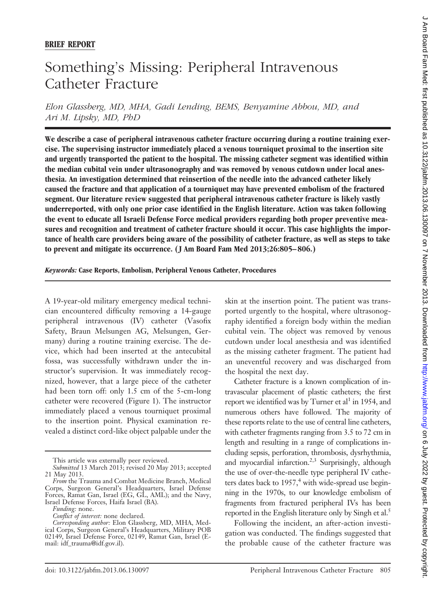## Something's Missing: Peripheral Intravenous Catheter Fracture

*Elon Glassberg, MD, MHA, Gadi Lending, BEMS, Benyamine Abbou, MD, and Ari M. Lipsky, MD, PhD*

**We describe a case of peripheral intravenous catheter fracture occurring during a routine training exercise. The supervising instructor immediately placed a venous tourniquet proximal to the insertion site and urgently transported the patient to the hospital. The missing catheter segment was identified within the median cubital vein under ultrasonography and was removed by venous cutdown under local anesthesia. An investigation determined that reinsertion of the needle into the advanced catheter likely caused the fracture and that application of a tourniquet may have prevented embolism of the fractured segment. Our literature review suggested that peripheral intravenous catheter fracture is likely vastly underreported, with only one prior case identified in the English literature. Action was taken following the event to educate all Israeli Defense Force medical providers regarding both proper preventive measures and recognition and treatment of catheter fracture should it occur. This case highlights the importance of health care providers being aware of the possibility of catheter fracture, as well as steps to take to prevent and mitigate its occurrence. ( J Am Board Fam Med 2013;26:805– 806.)**

*Keywords:* **Case Reports, Embolism, Peripheral Venous Catheter, Procedures**

A 19-year-old military emergency medical technician encountered difficulty removing a 14-gauge peripheral intravenous (IV) catheter (Vasofix Safety, Braun Melsungen AG, Melsungen, Germany) during a routine training exercise. The device, which had been inserted at the antecubital fossa, was successfully withdrawn under the instructor's supervision. It was immediately recognized, however, that a large piece of the catheter had been torn off: only 1.5 cm of the 5-cm-long catheter were recovered (Figure 1). The instructor immediately placed a venous tourniquet proximal to the insertion point. Physical examination revealed a distinct cord-like object palpable under the skin at the insertion point. The patient was transported urgently to the hospital, where ultrasonography identified a foreign body within the median cubital vein. The object was removed by venous cutdown under local anesthesia and was identified as the missing catheter fragment. The patient had an uneventful recovery and was discharged from the hospital the next day.

Catheter fracture is a known complication of intravascular placement of plastic catheters; the first report we identified was by Turner et al<sup>1</sup> in 1954, and numerous others have followed. The majority of these reports relate to the use of central line catheters, with catheter fragments ranging from 3.5 to 72 cm in length and resulting in a range of complications including sepsis, perforation, thrombosis, dysrhythmia, and myocardial infarction.<sup>2,3</sup> Surprisingly, although the use of over-the-needle type peripheral IV catheters dates back to  $1957<sup>4</sup>$  with wide-spread use beginning in the 1970s, to our knowledge embolism of fragments from fractured peripheral IVs has been reported in the English literature only by Singh et al.<sup>5</sup>

Following the incident, an after-action investigation was conducted. The findings suggested that the probable cause of the catheter fracture was

This article was externally peer reviewed.

*Submitted* 13 March 2013; revised 20 May 2013; accepted 21 May 2013.

*From* the Trauma and Combat Medicine Branch, Medical Corps, Surgeon General's Headquarters, Israel Defense Forces, Ramat Gan, Israel (EG, GL, AML); and the Navy, Israel Defense Forces, Haifa Israel (BA).

*Funding:* none.

*Conflict of interest:* none declared.

*Corresponding author:* Elon Glassberg, MD, MHA, Medical Corps, Surgeon General's Headquarters, Military POB 02149, Israel Defense Force, 02149, Ramat Gan, Israel [\(E](mailto:idf_trauma@idf.gov.il)[mail: idf\\_trauma@idf.gov.il\)](mailto:idf_trauma@idf.gov.il).